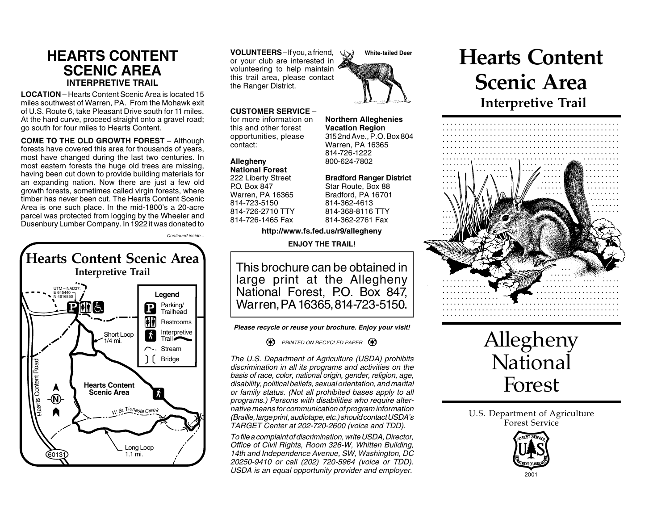## **HEARTS CONTENT SCENIC AREA INTERPRETIVE TRAIL**

**LOCATION** – Hearts Content Scenic Area is located 15 miles southwest of Warren, PA. From the Mohawk exit of U.S. Route 6, take Pleasant Drive south for 11 miles. At the hard curve, proceed straight onto a gravel road; go south for four miles to Hearts Content.

**COME TO THE OLD GROWTH FOREST** – Although forests have covered this area for thousands of years, most have changed during the last two centuries. In most eastern forests the huge old trees are missing, having been cut down to provide building materials for an expanding nation. Now there are just a few old growth forests, sometimes called virgin forests, where timber has never been cut. The Hearts Content Scenic Area is one such place. In the mid-1800's a 20-acre parcel was protected from logging by the Wheeler and Dusenbury Lumber Company. In 1922 it was donated to

Continued inside...



**VOLUNTEERS** – lf you, a friend, or your club are interested in volunteering to help maintain this trail area, please contact the Ranger District.

### **CUSTOMER SERVICE** –

for more information on **Northern Alleghenies** this and other forest<br>
opportunities, please 3152nd Ave., P.O. Box 804 opportunities, please<br>contact:

# **National Forest**

222 Liberty Street **Bradford Ranger District** P.O. Box 847 Star Route, Box 88<br>Warren. PA 16365 Bradford. PA 16701 814-723-5150 814-726-2710 TTY 814-368-8116 TTY 814-726-1465 Fax 814-362-2761 Fax

Warren, PA 16365 814-726-1222 **Allegheny** 800-624-7802

Bradford, PA 16701<br>814-362-4613

### **http://www.fs.fed.us/r9/allegheny**

**ENJOY THE TRAIL!**

This brochure can be obtained in large print at the Allegheny National Forest, P.O. Box 847, Warren, PA 16365, 814-723-5150.

**Please recycle or reuse your brochure. Enjoy your visit!**

**PRINTED ON RECYCLED PAPER** 

The U.S. Department of Agriculture (USDA) prohibits discrimination in all its programs and activities on the basis of race, color, national origin, gender, religion, age, disability, political beliefs, sexual orientation, and marital or family status. (Not all prohibited bases apply to all programs.) Persons with disabilities who require alternative means for communication of program information (Braille, large print, audiotape, etc.) should contact USDA's TARGET Center at 202-720-2600 (voice and TDD).

To file a complaint of discrimination, write USDA, Director, Office of Civil Rights, Room 326-W, Whitten Building, 14th and Independence Avenue, SW, Washington, DC 20250-9410 or call (202) 720-5964 (voice or TDD). USDA is an equal opportunity provider and employer.







U.S. Department of Agriculture Forest Service



**White-tailed Deer**